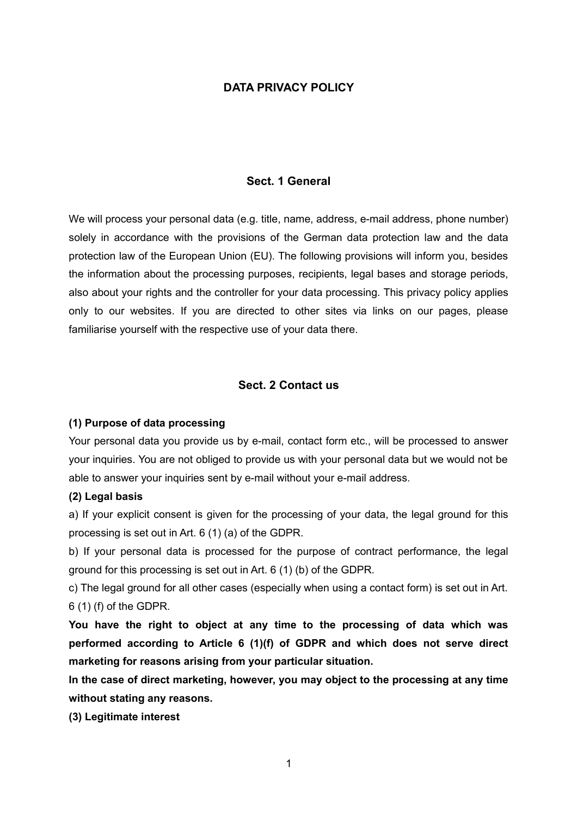### **DATA PRIVACY POLICY**

#### **Sect. 1 General**

We will process your personal data (e.g. title, name, address, e-mail address, phone number) solely in accordance with the provisions of the German data protection law and the data protection law of the European Union (EU). The following provisions will inform you, besides the information about the processing purposes, recipients, legal bases and storage periods, also about your rights and the controller for your data processing. This privacy policy applies only to our websites. If you are directed to other sites via links on our pages, please familiarise yourself with the respective use of your data there.

### **Sect. 2 Contact us**

#### **(1) Purpose of data processing**

Your personal data you provide us by e-mail, contact form etc., will be processed to answer your inquiries. You are not obliged to provide us with your personal data but we would not be able to answer your inquiries sent by e-mail without your e-mail address.

#### **(2) Legal basis**

a) If your explicit consent is given for the processing of your data, the legal ground for this processing is set out in Art. 6 (1) (a) of the GDPR.

b) If your personal data is processed for the purpose of contract performance, the legal ground for this processing is set out in Art. 6 (1) (b) of the GDPR.

c) The legal ground for all other cases (especially when using a contact form) is set out in Art. 6 (1) (f) of the GDPR.

**You have the right to object at any time to the processing of data which was performed according to Article 6 (1)(f) of GDPR and which does not serve direct marketing for reasons arising from your particular situation.**

**In the case of direct marketing, however, you may object to the processing at any time without stating any reasons.**

**(3) Legitimate interest**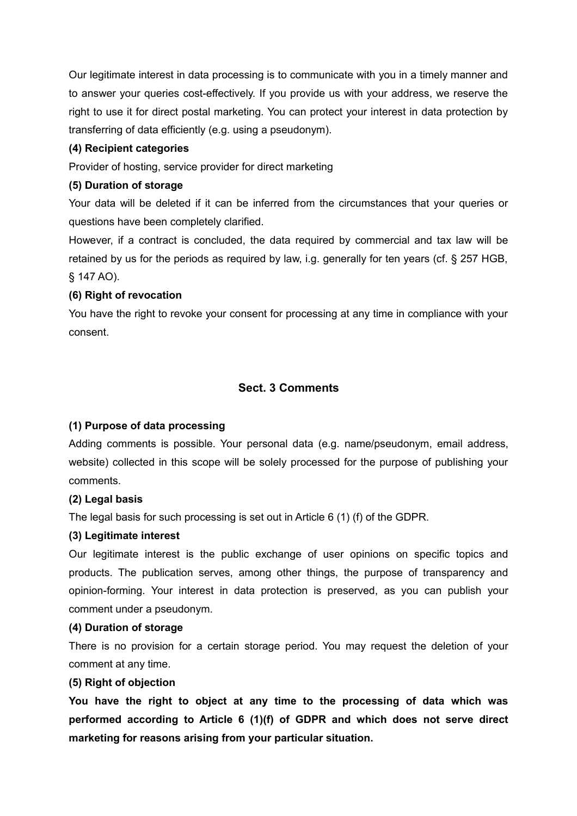Our legitimate interest in data processing is to communicate with you in a timely manner and to answer your queries cost-effectively. If you provide us with your address, we reserve the right to use it for direct postal marketing. You can protect your interest in data protection by transferring of data efficiently (e.g. using a pseudonym).

## **(4) Recipient categories**

Provider of hosting, service provider for direct marketing

### **(5) Duration of storage**

Your data will be deleted if it can be inferred from the circumstances that your queries or questions have been completely clarified.

However, if a contract is concluded, the data required by commercial and tax law will be retained by us for the periods as required by law, i.g. generally for ten years (cf. § 257 HGB, § 147 AO).

## **(6) Right of revocation**

You have the right to revoke your consent for processing at any time in compliance with your consent.

# **Sect. 3 Comments**

## **(1) Purpose of data processing**

Adding comments is possible. Your personal data (e.g. name/pseudonym, email address, website) collected in this scope will be solely processed for the purpose of publishing your comments.

## **(2) Legal basis**

The legal basis for such processing is set out in Article 6 (1) (f) of the GDPR.

## **(3) Legitimate interest**

Our legitimate interest is the public exchange of user opinions on specific topics and products. The publication serves, among other things, the purpose of transparency and opinion-forming. Your interest in data protection is preserved, as you can publish your comment under a pseudonym.

## **(4) Duration of storage**

There is no provision for a certain storage period. You may request the deletion of your comment at any time.

## **(5) Right of objection**

**You have the right to object at any time to the processing of data which was performed according to Article 6 (1)(f) of GDPR and which does not serve direct marketing for reasons arising from your particular situation.**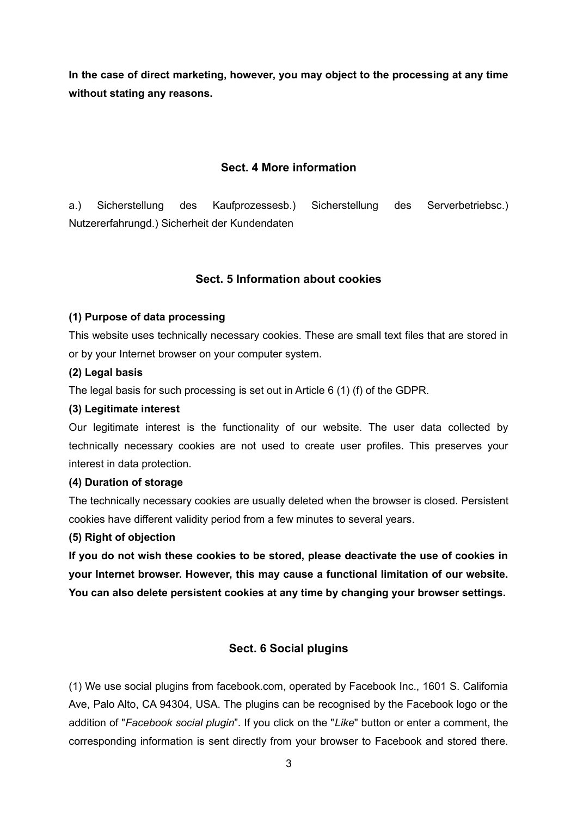**In the case of direct marketing, however, you may object to the processing at any time without stating any reasons.**

### **Sect. 4 More information**

a.) Sicherstellung des Kaufprozessesb.) Sicherstellung des Serverbetriebsc.) Nutzererfahrungd.) Sicherheit der Kundendaten

## **Sect. 5 Information about cookies**

### **(1) Purpose of data processing**

This website uses technically necessary cookies. These are small text files that are stored in or by your Internet browser on your computer system.

#### **(2) Legal basis**

The legal basis for such processing is set out in Article 6 (1) (f) of the GDPR.

#### **(3) Legitimate interest**

Our legitimate interest is the functionality of our website. The user data collected by technically necessary cookies are not used to create user profiles. This preserves your interest in data protection.

#### **(4) Duration of storage**

The technically necessary cookies are usually deleted when the browser is closed. Persistent cookies have different validity period from a few minutes to several years.

### **(5) Right of objection**

**If you do not wish these cookies to be stored, please deactivate the use of cookies in your Internet browser. However, this may cause a functional limitation of our website. You can also delete persistent cookies at any time by changing your browser settings.**

## **Sect. 6 Social plugins**

(1) We use social plugins from facebook.com, operated by Facebook Inc., 1601 S. California Ave, Palo Alto, CA 94304, USA. The plugins can be recognised by the Facebook logo or the addition of "*Facebook social plugin*". If you click on the "*Like*" button or enter a comment, the corresponding information is sent directly from your browser to Facebook and stored there.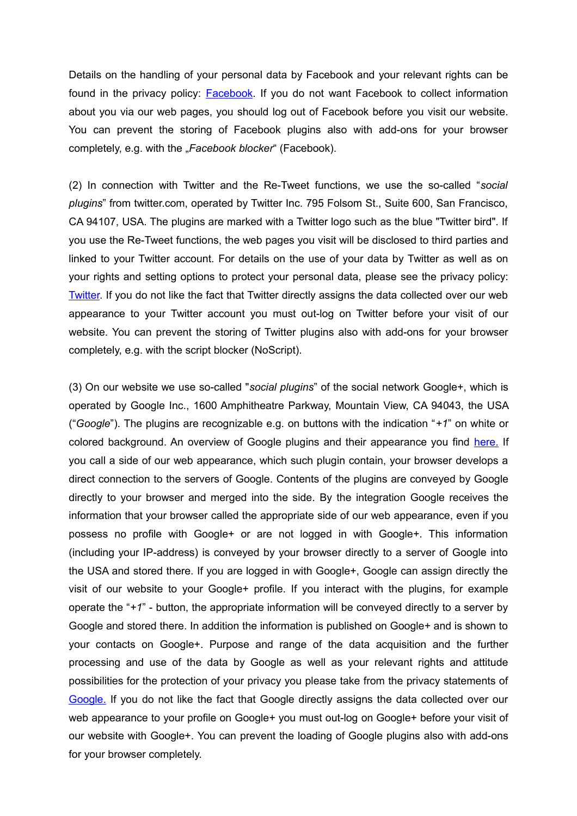Details on the handling of your personal data by Facebook and your relevant rights can be found in the privacy policy: [Facebook.](http://www.facebook.com/policy.php) If you do not want Facebook to collect information about you via our web pages, you should log out of Facebook before you visit our website. You can prevent the storing of Facebook plugins also with add-ons for your browser completely, e.g. with the "Facebook blocker" (Facebook).

(2) In connection with Twitter and the Re-Tweet functions, we use the so-called "*social plugins*" from twitter.com, operated by Twitter Inc. 795 Folsom St., Suite 600, San Francisco, CA 94107, USA. The plugins are marked with a Twitter logo such as the blue "Twitter bird". If you use the Re-Tweet functions, the web pages you visit will be disclosed to third parties and linked to your Twitter account. For details on the use of your data by Twitter as well as on your rights and setting options to protect your personal data, please see the privacy policy: [Twitter.](http://twitter.com/privacy) If you do not like the fact that Twitter directly assigns the data collected over our web appearance to your Twitter account you must out-log on Twitter before your visit of our website. You can prevent the storing of Twitter plugins also with add-ons for your browser completely, e.g. with the script blocker (NoScript).

(3) On our website we use so-called "*social plugins*" of the social network Google+, which is operated by Google Inc., 1600 Amphitheatre Parkway, Mountain View, CA 94043, the USA ("*Google*"). The plugins are recognizable e.g. on buttons with the indication "*+1*" on white or colored background. An overview of Google plugins and their appearance you find [here.](https://developers.google.com/+/plugins) If you call a side of our web appearance, which such plugin contain, your browser develops a direct connection to the servers of Google. Contents of the plugins are conveyed by Google directly to your browser and merged into the side. By the integration Google receives the information that your browser called the appropriate side of our web appearance, even if you possess no profile with Google+ or are not logged in with Google+. This information (including your IP-address) is conveyed by your browser directly to a server of Google into the USA and stored there. If you are logged in with Google+, Google can assign directly the visit of our website to your Google+ profile. If you interact with the plugins, for example operate the "*+1*" - button, the appropriate information will be conveyed directly to a server by Google and stored there. In addition the information is published on Google+ and is shown to your contacts on Google+. Purpose and range of the data acquisition and the further processing and use of the data by Google as well as your relevant rights and attitude possibilities for the protection of your privacy you please take from the privacy statements of [Google.](http://www.google.com/intl/de/+/policy/+1button.html) If you do not like the fact that Google directly assigns the data collected over our web appearance to your profile on Google+ you must out-log on Google+ before your visit of our website with Google+. You can prevent the loading of Google plugins also with add-ons for your browser completely.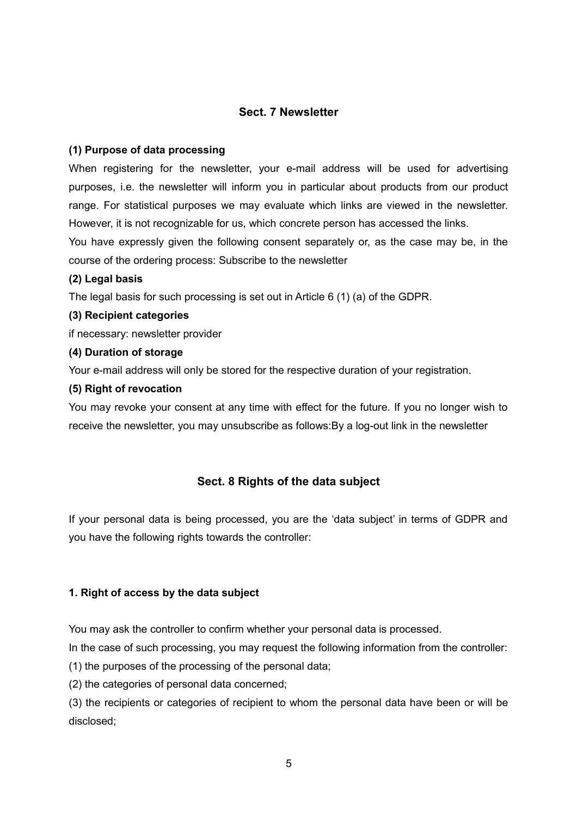### **Sect. 7 Newsletter**

### **(1) Purpose of data processing**

When registering for the newsletter, your e-mail address will be used for advertising purposes, i.e. the newsletter will inform you in particular about products from our product range. For statistical purposes we may evaluate which links are viewed in the newsletter. However, it is not recognizable for us, which concrete person has accessed the links.

You have expressly given the following consent separately or, as the case may be, in the course of the ordering process: Subscribe to the newsletter

#### **(2) Legal basis**

The legal basis for such processing is set out in Article 6 (1) (a) of the GDPR.

#### **(3) Recipient categories**

if necessary: newsletter provider

#### **(4) Duration of storage**

Your e-mail address will only be stored for the respective duration of your registration.

#### **(5) Right of revocation**

You may revoke your consent at any time with effect for the future. If you no longer wish to receive the newsletter, you may unsubscribe as follows:By a log-out link in the newsletter

## **Sect. 8 Rights of the data subject**

If your personal data is being processed, you are the 'data subject' in terms of GDPR and you have the following rights towards the controller:

### **1. Right of access by the data subject**

You may ask the controller to confirm whether your personal data is processed.

In the case of such processing, you may request the following information from the controller:

(1) the purposes of the processing of the personal data;

(2) the categories of personal data concerned;

(3) the recipients or categories of recipient to whom the personal data have been or will be disclosed;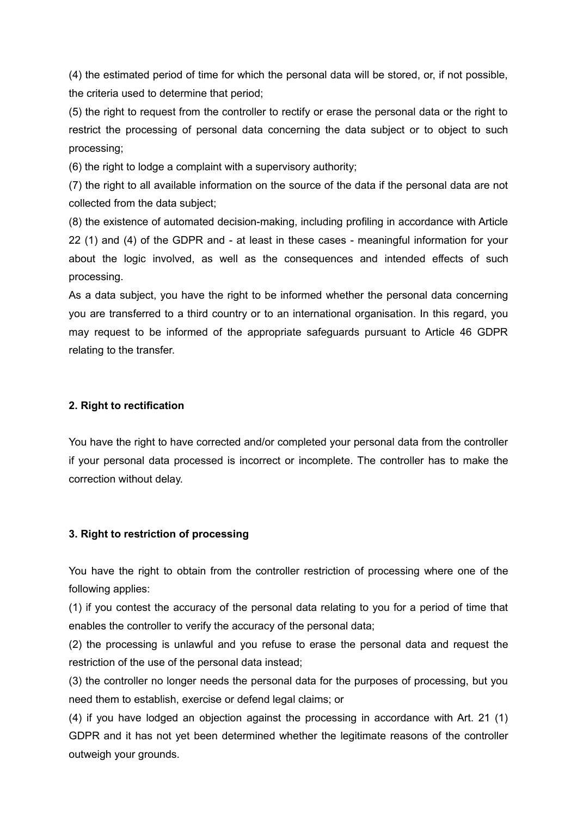(4) the estimated period of time for which the personal data will be stored, or, if not possible, the criteria used to determine that period;

(5) the right to request from the controller to rectify or erase the personal data or the right to restrict the processing of personal data concerning the data subject or to object to such processing;

(6) the right to lodge a complaint with a supervisory authority;

(7) the right to all available information on the source of the data if the personal data are not collected from the data subject;

(8) the existence of automated decision-making, including profiling in accordance with Article 22 (1) and (4) of the GDPR and - at least in these cases - meaningful information for your about the logic involved, as well as the consequences and intended effects of such processing.

As a data subject, you have the right to be informed whether the personal data concerning you are transferred to a third country or to an international organisation. In this regard, you may request to be informed of the appropriate safeguards pursuant to Article 46 GDPR relating to the transfer.

## **2. Right to rectification**

You have the right to have corrected and/or completed your personal data from the controller if your personal data processed is incorrect or incomplete. The controller has to make the correction without delay.

## **3. Right to restriction of processing**

You have the right to obtain from the controller restriction of processing where one of the following applies:

(1) if you contest the accuracy of the personal data relating to you for a period of time that enables the controller to verify the accuracy of the personal data;

(2) the processing is unlawful and you refuse to erase the personal data and request the restriction of the use of the personal data instead;

(3) the controller no longer needs the personal data for the purposes of processing, but you need them to establish, exercise or defend legal claims; or

(4) if you have lodged an objection against the processing in accordance with Art. 21 (1) GDPR and it has not yet been determined whether the legitimate reasons of the controller outweigh your grounds.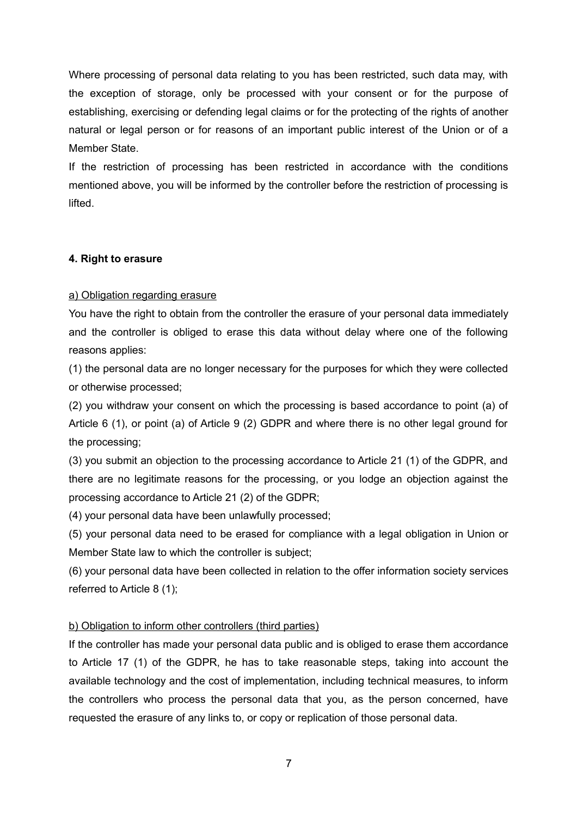Where processing of personal data relating to you has been restricted, such data may, with the exception of storage, only be processed with your consent or for the purpose of establishing, exercising or defending legal claims or for the protecting of the rights of another natural or legal person or for reasons of an important public interest of the Union or of a Member State.

If the restriction of processing has been restricted in accordance with the conditions mentioned above, you will be informed by the controller before the restriction of processing is lifted.

### **4. Right to erasure**

### a) Obligation regarding erasure

You have the right to obtain from the controller the erasure of your personal data immediately and the controller is obliged to erase this data without delay where one of the following reasons applies:

(1) the personal data are no longer necessary for the purposes for which they were collected or otherwise processed;

(2) you withdraw your consent on which the processing is based accordance to point (a) of Article 6 (1), or point (a) of Article 9 (2) GDPR and where there is no other legal ground for the processing;

(3) you submit an objection to the processing accordance to Article 21 (1) of the GDPR, and there are no legitimate reasons for the processing, or you lodge an objection against the processing accordance to Article 21 (2) of the GDPR;

(4) your personal data have been unlawfully processed;

(5) your personal data need to be erased for compliance with a legal obligation in Union or Member State law to which the controller is subject;

(6) your personal data have been collected in relation to the offer information society services referred to Article 8 (1);

## b) Obligation to inform other controllers (third parties)

If the controller has made your personal data public and is obliged to erase them accordance to Article 17 (1) of the GDPR, he has to take reasonable steps, taking into account the available technology and the cost of implementation, including technical measures, to inform the controllers who process the personal data that you, as the person concerned, have requested the erasure of any links to, or copy or replication of those personal data.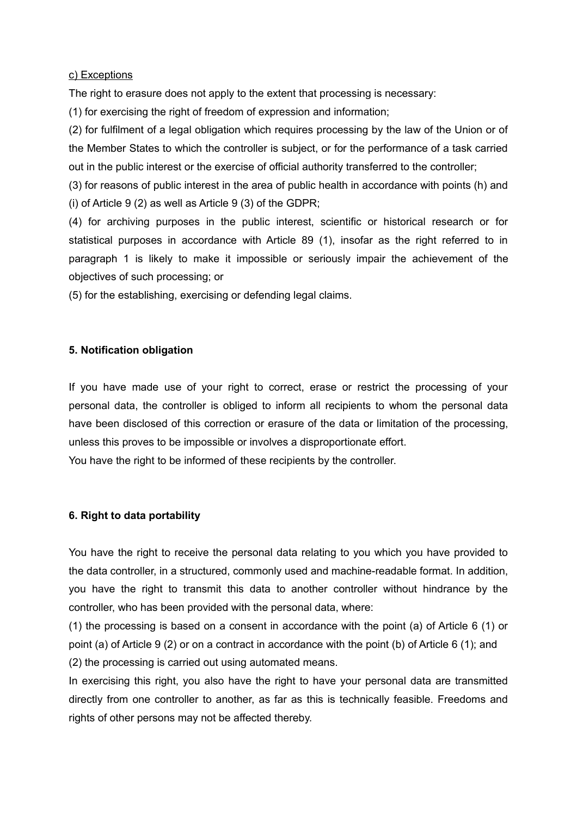c) Exceptions

The right to erasure does not apply to the extent that processing is necessary:

(1) for exercising the right of freedom of expression and information;

(2) for fulfilment of a legal obligation which requires processing by the law of the Union or of the Member States to which the controller is subject, or for the performance of a task carried out in the public interest or the exercise of official authority transferred to the controller;

(3) for reasons of public interest in the area of public health in accordance with points (h) and (i) of Article 9 (2) as well as Article 9 (3) of the GDPR;

(4) for archiving purposes in the public interest, scientific or historical research or for statistical purposes in accordance with Article 89 (1), insofar as the right referred to in paragraph 1 is likely to make it impossible or seriously impair the achievement of the objectives of such processing; or

(5) for the establishing, exercising or defending legal claims.

### **5. Notification obligation**

If you have made use of your right to correct, erase or restrict the processing of your personal data, the controller is obliged to inform all recipients to whom the personal data have been disclosed of this correction or erasure of the data or limitation of the processing, unless this proves to be impossible or involves a disproportionate effort.

You have the right to be informed of these recipients by the controller.

## **6. Right to data portability**

You have the right to receive the personal data relating to you which you have provided to the data controller, in a structured, commonly used and machine-readable format. In addition, you have the right to transmit this data to another controller without hindrance by the controller, who has been provided with the personal data, where:

(1) the processing is based on a consent in accordance with the point (a) of Article 6 (1) or point (a) of Article 9 (2) or on a contract in accordance with the point (b) of Article 6 (1); and (2) the processing is carried out using automated means.

In exercising this right, you also have the right to have your personal data are transmitted directly from one controller to another, as far as this is technically feasible. Freedoms and rights of other persons may not be affected thereby.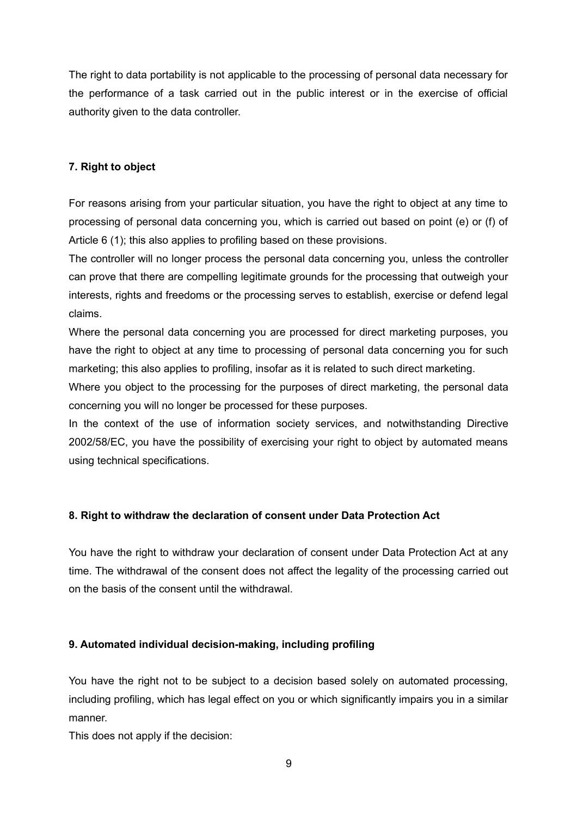The right to data portability is not applicable to the processing of personal data necessary for the performance of a task carried out in the public interest or in the exercise of official authority given to the data controller.

## **7. Right to object**

For reasons arising from your particular situation, you have the right to object at any time to processing of personal data concerning you, which is carried out based on point (e) or (f) of Article 6 (1); this also applies to profiling based on these provisions.

The controller will no longer process the personal data concerning you, unless the controller can prove that there are compelling legitimate grounds for the processing that outweigh your interests, rights and freedoms or the processing serves to establish, exercise or defend legal claims.

Where the personal data concerning you are processed for direct marketing purposes, you have the right to object at any time to processing of personal data concerning you for such marketing; this also applies to profiling, insofar as it is related to such direct marketing.

Where you object to the processing for the purposes of direct marketing, the personal data concerning you will no longer be processed for these purposes.

In the context of the use of information society services, and notwithstanding Directive 2002/58/EC, you have the possibility of exercising your right to object by automated means using technical specifications.

## **8. Right to withdraw the declaration of consent under Data Protection Act**

You have the right to withdraw your declaration of consent under Data Protection Act at any time. The withdrawal of the consent does not affect the legality of the processing carried out on the basis of the consent until the withdrawal.

## **9. Automated individual decision-making, including profiling**

You have the right not to be subject to a decision based solely on automated processing, including profiling, which has legal effect on you or which significantly impairs you in a similar manner.

This does not apply if the decision: